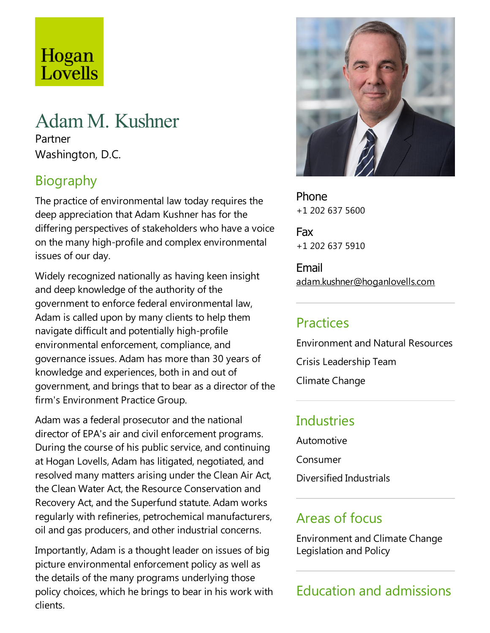# Hogan Lovells

## Adam M. Kushner

Partner Washington, D.C.

## Biography

The practice of environmental law today requires the deep appreciation that Adam Kushner has for the differing perspectives of stakeholders who have a voice on the many high-profile and complex environmental issues of our day.

Widely recognized nationally as having keen insight and deep knowledge of the authority of the government to enforce federal environmental law, Adam is called upon by many clients to help them navigate difficult and potentially high-profile environmental enforcement, compliance, and governance issues. Adam has more than 30 years of knowledge and experiences, both in and out of government, and brings that to bear as a director of the firm's Environment Practice Group.

Adam was afederal prosecutor and the national director of EPA's air and civil enforcement programs. During the course of his public service, and continuing at Hogan Lovells, Adam has litigated, negotiated, and resolved many matters arising under the Clean Air Act, the Clean Water Act, the Resource Conservation and Recovery Act, and the Superfund statute. Adam works regularly with refineries, petrochemical manufacturers, oil and gas producers, and other industrial concerns.

Importantly, Adam is a thought leader on issues of big picture environmental enforcement policy as well as the details of the many programs underlying those policy choices, which he brings to bear in his work with clients.



Phone +1 202 637 5600

Fax +1 202 637 5910

Email adam.kushner@hoganlovells.com

## Practices

Environment and Natural Resources

Crisis Leadership Team

Climate Change

#### **Industries**

Automotive

Consumer

Diversified Industrials

## Areas of focus

Environment and Climate Change Legislation and Policy

## Education and admissions